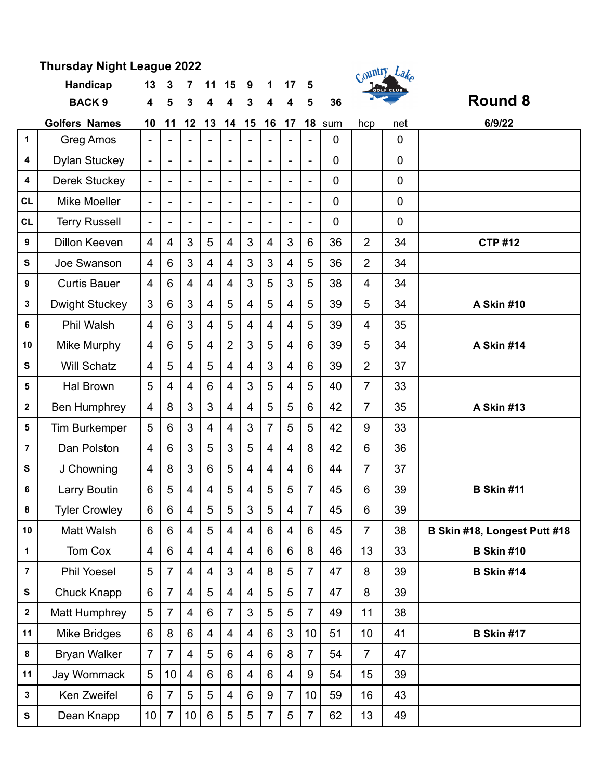| Thursday Night League 2022 |                       |                          |                          |                 |                |                |                          |                          |                |                          |             |                | Country Lake     |                              |
|----------------------------|-----------------------|--------------------------|--------------------------|-----------------|----------------|----------------|--------------------------|--------------------------|----------------|--------------------------|-------------|----------------|------------------|------------------------------|
|                            | Handicap              | 13                       | 3                        | 7               | 11             | 15             | 9                        | 1                        | 17             | 5                        |             |                | <b>GOLF CLUB</b> |                              |
|                            | <b>BACK 9</b>         | 4                        | 5                        | 3               | 4              | 4              | 3                        | 4                        | 4              | 5                        | 36          |                |                  | Round 8                      |
|                            | <b>Golfers Names</b>  | 10                       | 11                       | 12              | 13             | 14             | 15                       | 16                       | 17             | 18                       | sum         | hcp            | net              | 6/9/22                       |
| $\mathbf{1}$               | Greg Amos             |                          | $\overline{\phantom{a}}$ |                 |                |                |                          |                          |                |                          | $\mathbf 0$ |                | $\mathbf 0$      |                              |
| 4                          | <b>Dylan Stuckey</b>  | $\blacksquare$           | $\blacksquare$           | $\blacksquare$  |                | $\blacksquare$ | $\blacksquare$           |                          | $\blacksquare$ | $\frac{1}{2}$            | 0           |                | $\mathbf 0$      |                              |
| 4                          | <b>Derek Stuckey</b>  |                          | $\blacksquare$           | $\blacksquare$  |                | $\sim$         |                          |                          | $\blacksquare$ | $\blacksquare$           | $\mathbf 0$ |                | $\overline{0}$   |                              |
| <b>CL</b>                  | <b>Mike Moeller</b>   | $\overline{\phantom{0}}$ | $\blacksquare$           | $\blacksquare$  | $\blacksquare$ | $\blacksquare$ | $\overline{\phantom{0}}$ | $\overline{\phantom{0}}$ | $\blacksquare$ | $\overline{\phantom{0}}$ | 0           |                | $\mathbf 0$      |                              |
| <b>CL</b>                  | <b>Terry Russell</b>  |                          | $\blacksquare$           |                 |                | $\blacksquare$ |                          |                          | $\blacksquare$ | $\blacksquare$           | $\mathbf 0$ |                | $\overline{0}$   |                              |
| 9                          | <b>Dillon Keeven</b>  | 4                        | 4                        | 3               | 5              | 4              | 3                        | $\overline{4}$           | 3              | 6                        | 36          | $\overline{2}$ | 34               | <b>CTP #12</b>               |
| S                          | Joe Swanson           | $\overline{4}$           | 6                        | 3               | 4              | $\overline{4}$ | 3                        | 3                        | $\overline{4}$ | 5                        | 36          | $\overline{2}$ | 34               |                              |
| 9                          | <b>Curtis Bauer</b>   | 4                        | $6\phantom{1}$           | $\overline{4}$  | 4              | $\overline{4}$ | 3                        | 5                        | 3              | 5                        | 38          | $\overline{4}$ | 34               |                              |
| 3                          | <b>Dwight Stuckey</b> | 3                        | 6                        | 3               | 4              | 5              | $\overline{4}$           | 5                        | $\overline{4}$ | 5                        | 39          | 5              | 34               | A Skin #10                   |
| 6                          | <b>Phil Walsh</b>     | 4                        | $6\phantom{1}$           | 3               | $\overline{4}$ | 5              | $\overline{4}$           | $\overline{4}$           | 4              | 5                        | 39          | $\overline{4}$ | 35               |                              |
| 10                         | Mike Murphy           | 4                        | 6                        | 5               | 4              | $\overline{2}$ | 3                        | 5                        | $\overline{4}$ | 6                        | 39          | 5              | 34               | A Skin #14                   |
| S                          | <b>Will Schatz</b>    | 4                        | 5                        | $\overline{4}$  | 5              | $\overline{4}$ | $\overline{4}$           | 3                        | $\overline{4}$ | 6                        | 39          | $\overline{2}$ | 37               |                              |
| 5                          | Hal Brown             | 5                        | $\overline{4}$           | $\overline{4}$  | 6              | $\overline{4}$ | 3                        | 5                        | $\overline{4}$ | 5                        | 40          | $\overline{7}$ | 33               |                              |
| $\mathbf 2$                | Ben Humphrey          | 4                        | 8                        | 3               | 3              | $\overline{4}$ | $\overline{4}$           | 5                        | 5              | 6                        | 42          | $\overline{7}$ | 35               | <b>A Skin #13</b>            |
| 5                          | <b>Tim Burkemper</b>  | 5                        | $6\phantom{1}$           | 3               | 4              | $\overline{4}$ | 3                        | $\overline{7}$           | 5              | 5                        | 42          | 9              | 33               |                              |
| $\overline{7}$             | Dan Polston           | 4                        | $6\phantom{1}$           | 3               | 5              | 3              | 5                        | $\overline{4}$           | 4              | 8                        | 42          | 6              | 36               |                              |
| S                          | J Chowning            | 4                        | 8                        | 3               | 6              | 5              | $\overline{4}$           | $\overline{4}$           | $\overline{4}$ | 6                        | 44          | 7              | 37               |                              |
| 6                          | Larry Boutin          | 6                        | 5                        | 4               | 4              | 5              | 4                        | 5                        | 5              | 7                        | 45          | 6              | 39               | <b>B Skin #11</b>            |
| 8                          | <b>Tyler Crowley</b>  | 6                        | 6                        | $\overline{4}$  | 5              | 5              | $\mathbf{3}$             | 5                        | 4              | $\overline{7}$           | 45          | 6              | 39               |                              |
| 10                         | Matt Walsh            | 6                        | 6                        | $\overline{4}$  | 5              | $\overline{4}$ | $\overline{4}$           | 6                        | $\overline{4}$ | 6                        | 45          | $\overline{7}$ | 38               | B Skin #18, Longest Putt #18 |
| 1                          | Tom Cox               | $\overline{\mathbf{4}}$  | 6                        | $\overline{4}$  | 4              | $\overline{4}$ | $\overline{4}$           | 6                        | 6              | 8                        | 46          | 13             | 33               | <b>B Skin #10</b>            |
| 7                          | <b>Phil Yoesel</b>    | 5                        | $\overline{7}$           | $\overline{4}$  | 4              | 3              | $\overline{4}$           | 8                        | 5              | $\overline{7}$           | 47          | 8              | 39               | <b>B Skin #14</b>            |
| ${\bf s}$                  | Chuck Knapp           | 6                        | $\overline{7}$           | $\overline{4}$  | 5              | $\overline{4}$ | $\overline{4}$           | 5                        | 5              | $\overline{7}$           | 47          | 8              | 39               |                              |
| $\mathbf{2}$               | Matt Humphrey         | 5                        | $\overline{7}$           | $\overline{4}$  | 6              | $\overline{7}$ | 3                        | 5                        | 5              | $\overline{7}$           | 49          | 11             | 38               |                              |
| 11                         | Mike Bridges          | 6                        | 8                        | 6               | 4              | $\overline{4}$ | $\overline{4}$           | 6                        | 3              | 10                       | 51          | 10             | 41               | <b>B Skin #17</b>            |
| 8                          | <b>Bryan Walker</b>   | $\overline{7}$           | $\overline{7}$           | $\overline{4}$  | 5              | 6              | $\overline{4}$           | 6                        | 8              | $\overline{7}$           | 54          | $\overline{7}$ | 47               |                              |
| 11                         | Jay Wommack           | 5                        | 10                       | $\overline{4}$  | 6              | 6              | $\overline{4}$           | 6                        | $\overline{4}$ | 9                        | 54          | 15             | 39               |                              |
| 3                          | Ken Zweifel           | $6\phantom{1}$           | $\overline{7}$           | 5               | 5              | $\overline{4}$ | $6\phantom{1}$           | 9                        | $\overline{7}$ | 10                       | 59          | 16             | 43               |                              |
| ${\bf S}$                  | Dean Knapp            | 10 <sub>1</sub>          | $\overline{7}$           | 10 <sub>1</sub> | $6\phantom{a}$ | 5              | $\overline{5}$           | $\overline{7}$           | 5              | $\overline{7}$           | 62          | 13             | 49               |                              |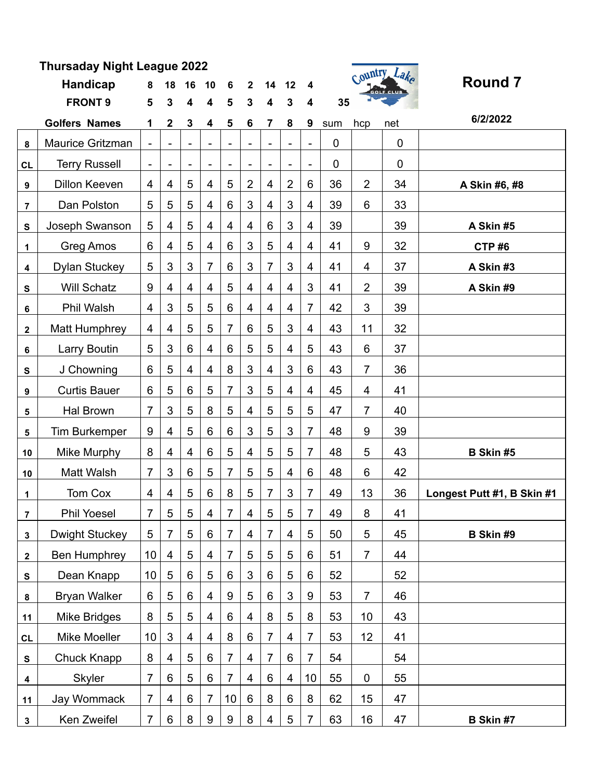| Thursaday Night League 2022 |                       |                              |                |                |                              |                 |                |                |                              |                         |             |                           |     |                            |
|-----------------------------|-----------------------|------------------------------|----------------|----------------|------------------------------|-----------------|----------------|----------------|------------------------------|-------------------------|-------------|---------------------------|-----|----------------------------|
|                             | <b>Handicap</b>       | 8                            | 18             | 16             | 10                           | 6               | $\mathbf{2}$   | 14             | 12                           | 4                       |             | Country Lake<br>GOLF CLUB |     | <b>Round 7</b>             |
|                             | <b>FRONT 9</b>        | 5                            | 3              | 4              | 4                            | 5               | 3              | 4              | 3                            | $\overline{\mathbf{4}}$ | 35          |                           |     |                            |
|                             | <b>Golfers Names</b>  | 1                            | $\mathbf 2$    | 3              | 4                            | 5               | 6              | 7              | 8                            | 9                       | sum         | hcp                       | net | 6/2/2022                   |
| 8                           | Maurice Gritzman      |                              |                |                |                              |                 |                |                |                              |                         | $\mathbf 0$ |                           | 0   |                            |
| CL                          | <b>Terry Russell</b>  | $\qquad \qquad \blacksquare$ |                |                | $\qquad \qquad \blacksquare$ |                 |                |                | $\qquad \qquad \blacksquare$ | $\blacksquare$          | 0           |                           | 0   |                            |
| $\boldsymbol{9}$            | Dillon Keeven         | 4                            | 4              | 5              | 4                            | 5               | $\overline{2}$ | 4              | $\overline{2}$               | 6                       | 36          | $\overline{2}$            | 34  | A Skin #6, #8              |
| 7                           | Dan Polston           | 5                            | 5              | 5              | 4                            | 6               | 3              | 4              | 3                            | 4                       | 39          | 6                         | 33  |                            |
| S                           | Joseph Swanson        | 5                            | 4              | 5              | 4                            | 4               | 4              | 6              | 3                            | 4                       | 39          |                           | 39  | A Skin #5                  |
| 1                           | Greg Amos             | 6                            | 4              | 5              | 4                            | 6               | 3              | 5              | 4                            | 4                       | 41          | 9                         | 32  | CTP#6                      |
| 4                           | <b>Dylan Stuckey</b>  | 5                            | 3              | 3              | $\overline{7}$               | 6               | 3              | 7              | 3                            | $\overline{4}$          | 41          | 4                         | 37  | A Skin#3                   |
| S                           | <b>Will Schatz</b>    | 9                            | 4              | 4              | 4                            | 5               | 4              | $\overline{4}$ | $\overline{4}$               | 3                       | 41          | $\overline{2}$            | 39  | A Skin #9                  |
| 6                           | Phil Walsh            | 4                            | 3              | 5              | 5                            | 6               | 4              | 4              | $\overline{4}$               | $\overline{7}$          | 42          | 3                         | 39  |                            |
| $\mathbf 2$                 | <b>Matt Humphrey</b>  | 4                            | 4              | 5              | 5                            | 7               | 6              | 5              | 3                            | 4                       | 43          | 11                        | 32  |                            |
| 6                           | Larry Boutin          | 5                            | 3              | 6              | 4                            | 6               | 5              | 5              | 4                            | 5                       | 43          | 6                         | 37  |                            |
| S                           | J Chowning            | $6\phantom{1}$               | 5              | $\overline{4}$ | 4                            | 8               | 3              | 4              | 3                            | 6                       | 43          | $\overline{7}$            | 36  |                            |
| 9                           | <b>Curtis Bauer</b>   | 6                            | 5              | 6              | 5                            | 7               | 3              | 5              | 4                            | 4                       | 45          | 4                         | 41  |                            |
| 5                           | <b>Hal Brown</b>      | $\overline{7}$               | 3              | 5              | 8                            | 5               | 4              | 5              | 5                            | 5                       | 47          | 7                         | 40  |                            |
| 5                           | <b>Tim Burkemper</b>  | 9                            | 4              | 5              | 6                            | 6               | 3              | 5              | 3                            | $\overline{7}$          | 48          | 9                         | 39  |                            |
| 10                          | Mike Murphy           | 8                            | 4              | $\overline{4}$ | 6                            | 5               | $\overline{4}$ | 5              | 5                            | $\overline{7}$          | 48          | 5                         | 43  | B Skin #5                  |
| 10                          | Matt Walsh            | $\overline{7}$               | 3              | 6              | 5                            | 7               | 5              | 5              | 4                            | 6                       | 48          | 6                         | 42  |                            |
| 1                           | Tom Cox               | 4                            | 4              | 5              | 6                            | 8               | 5              | 7              | 3                            | 7                       | 49          | 13                        | 36  | Longest Putt #1, B Skin #1 |
| 7                           | <b>Phil Yoesel</b>    | $\overline{7}$               | 5              | 5              | 4                            | 7               | $\overline{4}$ | 5              | 5                            | 7                       | 49          | 8                         | 41  |                            |
| $\mathbf 3$                 | <b>Dwight Stuckey</b> | $\overline{5}$               | $\overline{7}$ | 5              | 6                            | $\overline{7}$  | 4              | 7              | $\overline{4}$               | 5                       | 50          | 5                         | 45  | B Skin #9                  |
| $\mathbf{2}$                | Ben Humphrey          | 10                           | 4              | 5              | 4                            | 7               | 5              | 5              | $5\phantom{.0}$              | 6                       | 51          | $\overline{7}$            | 44  |                            |
| S                           | Dean Knapp            | 10                           | 5              | 6              | 5                            | 6               | 3              | $6\,$          | 5                            | 6                       | 52          |                           | 52  |                            |
| 8                           | <b>Bryan Walker</b>   | 6                            | 5              | 6              | 4                            | 9               | 5              | 6              | 3                            | 9                       | 53          | $\overline{7}$            | 46  |                            |
| 11                          | <b>Mike Bridges</b>   | 8                            | 5              | 5              | $\overline{4}$               | 6               | 4              | 8              | 5                            | 8                       | 53          | 10                        | 43  |                            |
| CL                          | Mike Moeller          | 10                           | 3              | $\overline{4}$ | 4                            | 8               | 6              | 7              | 4                            | $\overline{7}$          | 53          | 12                        | 41  |                            |
| S                           | Chuck Knapp           | 8                            | 4              | 5              | 6                            | $\overline{7}$  | 4              | $\overline{7}$ | $6\phantom{1}$               | $\overline{7}$          | 54          |                           | 54  |                            |
| 4                           | <b>Skyler</b>         | $\overline{7}$               | 6              | 5              | 6                            | $\overline{7}$  | 4              | 6              | 4                            | 10                      | 55          | 0                         | 55  |                            |
| 11                          | Jay Wommack           | $\overline{7}$               | 4              | $6\phantom{1}$ | 7                            | 10 <sup>°</sup> | $6\phantom{1}$ | 8              | $\,6$                        | 8                       | 62          | 15                        | 47  |                            |
| $\mathbf{3}$                | Ken Zweifel           | $\overline{7}$               | 6              | 8              | 9                            | 9               | 8              | $\overline{4}$ | 5                            | $\overline{7}$          | 63          | 16                        | 47  | B Skin #7                  |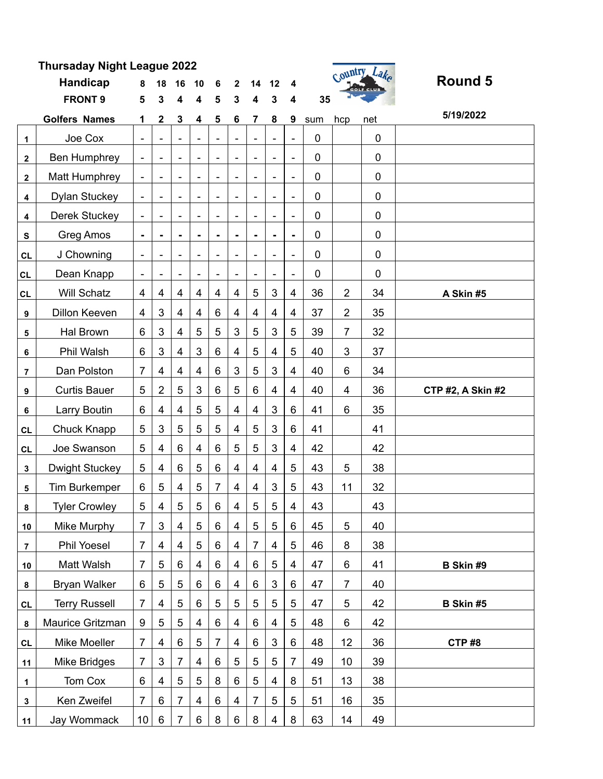| ırsaday Night League 2022 |  |  |  |                        |  | Country Lake     |         |
|---------------------------|--|--|--|------------------------|--|------------------|---------|
| <b>Handicap</b>           |  |  |  | 8 18 16 10 6 2 14 12 4 |  | <b>GOLF CLUB</b> | Round 5 |
| <b>FRONT 9</b>            |  |  |  | 5 3 4 4 5 3 4 3 4      |  |                  |         |



|                         | <b>FRONT 9</b>        | 5                            | 3                        | 4                        | 4                        | 5                        | 3                       | 4                        | 3                            | 4                            | 35  |                |                  |                          |
|-------------------------|-----------------------|------------------------------|--------------------------|--------------------------|--------------------------|--------------------------|-------------------------|--------------------------|------------------------------|------------------------------|-----|----------------|------------------|--------------------------|
|                         | <b>Golfers Names</b>  | 1                            | 2                        | 3                        | 4                        | 5                        | 6                       | $\overline{7}$           | 8                            | 9                            | sum | hcp            | net              | 5/19/2022                |
| 1                       | Joe Cox               |                              |                          |                          |                          |                          |                         |                          |                              |                              | 0   |                | 0                |                          |
| 2                       | Ben Humphrey          | $\overline{\phantom{a}}$     | $\overline{\phantom{a}}$ | $\overline{\phantom{a}}$ | $\overline{\phantom{m}}$ | $\overline{\phantom{0}}$ | ÷                       | $\overline{\phantom{a}}$ | $\overline{a}$               | $\qquad \qquad \blacksquare$ | 0   |                | $\boldsymbol{0}$ |                          |
| $\mathbf{2}$            | Matt Humphrey         | $\overline{\phantom{a}}$     | $\overline{\phantom{a}}$ | $\overline{\phantom{a}}$ | $\overline{\phantom{a}}$ | $\overline{\phantom{a}}$ | ÷                       | $\overline{\phantom{0}}$ | $\overline{\phantom{a}}$     | -                            | 0   |                | $\pmb{0}$        |                          |
| 4                       | <b>Dylan Stuckey</b>  | $\overline{\phantom{a}}$     |                          | $\overline{\phantom{a}}$ | $\overline{\phantom{0}}$ | $\overline{\phantom{a}}$ | L,                      | $\overline{\phantom{0}}$ | $\qquad \qquad \blacksquare$ | $\qquad \qquad \blacksquare$ | 0   |                | $\pmb{0}$        |                          |
| 4                       | <b>Derek Stuckey</b>  | $\overline{\phantom{a}}$     | $\overline{\phantom{a}}$ | $\overline{\phantom{a}}$ | $\overline{\phantom{0}}$ | $\overline{\phantom{m}}$ | ÷                       | $\overline{\phantom{0}}$ | $\overline{\phantom{0}}$     | $\overline{\phantom{a}}$     | 0   |                | $\mathbf 0$      |                          |
| ${\bf s}$               | Greg Amos             | ۰                            |                          | $\blacksquare$           | ۰                        | $\blacksquare$           | ۰                       | $\blacksquare$           | ٠                            | $\blacksquare$               | 0   |                | $\boldsymbol{0}$ |                          |
| <b>CL</b>               | J Chowning            | $\overline{\phantom{a}}$     | $\overline{\phantom{a}}$ | $\overline{\phantom{a}}$ | $\overline{\phantom{0}}$ | $\overline{\phantom{a}}$ | ۰                       | $\overline{\phantom{a}}$ | $\overline{\phantom{a}}$     | $\qquad \qquad \blacksquare$ | 0   |                | $\boldsymbol{0}$ |                          |
| CL                      | Dean Knapp            | $\qquad \qquad \blacksquare$ |                          |                          |                          |                          |                         |                          |                              | $\qquad \qquad \blacksquare$ | 0   |                | $\mathbf 0$      |                          |
| CL                      | <b>Will Schatz</b>    | $\overline{\mathbf{4}}$      | $\overline{4}$           | 4                        | $\overline{\mathbf{4}}$  | $\overline{4}$           | $\overline{4}$          | 5                        | 3                            | 4                            | 36  | $\overline{2}$ | 34               | A Skin #5                |
| 9                       | Dillon Keeven         | 4                            | $\mathbf{3}$             | 4                        | 4                        | 6                        | 4                       | 4                        | 4                            | 4                            | 37  | $\overline{2}$ | 35               |                          |
| 5                       | Hal Brown             | 6                            | $\mathbf{3}$             | 4                        | 5                        | 5                        | 3                       | 5                        | 3                            | 5                            | 39  | $\overline{7}$ | 32               |                          |
| 6                       | Phil Walsh            | $\,6$                        | 3                        | $\overline{\mathbf{4}}$  | 3                        | 6                        | 4                       | 5                        | 4                            | 5                            | 40  | 3              | 37               |                          |
| $\overline{\mathbf{r}}$ | Dan Polston           | 7                            | 4                        | $\overline{4}$           | 4                        | 6                        | 3                       | $\overline{5}$           | 3                            | 4                            | 40  | 6              | 34               |                          |
| 9                       | <b>Curtis Bauer</b>   | 5                            | $\overline{2}$           | 5                        | $\mathbf{3}$             | 6                        | 5                       | 6                        | 4                            | 4                            | 40  | 4              | 36               | <b>CTP #2, A Skin #2</b> |
| 6                       | Larry Boutin          | 6                            | $\overline{4}$           | $\overline{\mathbf{4}}$  | 5                        | 5                        | $\overline{\mathbf{4}}$ | 4                        | 3                            | 6                            | 41  | 6              | 35               |                          |
| <b>CL</b>               | Chuck Knapp           | 5                            | 3                        | 5                        | 5                        | 5                        | $\overline{4}$          | 5                        | 3                            | 6                            | 41  |                | 41               |                          |
| <b>CL</b>               | Joe Swanson           | 5                            | $\overline{4}$           | 6                        | $\overline{\mathbf{4}}$  | 6                        | 5                       | 5                        | 3                            | 4                            | 42  |                | 42               |                          |
| 3                       | <b>Dwight Stuckey</b> | 5                            | 4                        | 6                        | 5                        | 6                        | 4                       | $\overline{4}$           | $\overline{4}$               | 5                            | 43  | 5              | 38               |                          |
| 5                       | <b>Tim Burkemper</b>  | 6                            | 5                        | $\overline{4}$           | 5                        | 7                        | 4                       | $\overline{4}$           | 3                            | 5                            | 43  | 11             | 32               |                          |
| 8                       | <b>Tyler Crowley</b>  | 5                            | $\overline{4}$           | 5                        | $\sqrt{5}$               | 6                        | 4                       | 5                        | 5                            | 4                            | 43  |                | 43               |                          |
| 10                      | Mike Murphy           | 7                            | 3                        | 4                        | 5                        | 6                        | 4                       | 5                        | 5                            | 6                            | 45  | 5              | 40               |                          |
| $\overline{7}$          | <b>Phil Yoesel</b>    | 7                            | $\overline{4}$           | $\overline{4}$           | 5                        | $\,6$                    | 4                       | $\overline{7}$           | $\overline{\mathbf{4}}$      | 5                            | 46  | 8              | 38               |                          |
| 10                      | Matt Walsh            | $\overline{7}$               | 5                        | $6\phantom{1}$           | $\overline{\mathbf{4}}$  | 6                        | 4                       | 6                        | 5                            | 4                            | 47  | 6              | 41               | B Skin #9                |
| $\bf8$                  | <b>Bryan Walker</b>   | 6                            | 5                        | 5                        | 6                        | 6                        | 4                       | 6                        | 3                            | 6                            | 47  | $\overline{7}$ | 40               |                          |
| <b>CL</b>               | <b>Terry Russell</b>  | $\overline{7}$               | 4                        | 5                        | 6                        | 5                        | 5                       | 5                        | 5                            | 5                            | 47  | 5              | 42               | B Skin #5                |
| $\pmb{8}$               | Maurice Gritzman      | 9                            | $\sqrt{5}$               | 5                        | 4                        | 6                        | 4                       | 6                        | 4                            | 5                            | 48  | 6              | 42               |                          |
| <b>CL</b>               | Mike Moeller          | $\overline{7}$               | 4                        | 6                        | 5                        | 7                        | 4                       | 6                        | 3                            | 6                            | 48  | 12             | 36               | CTP#8                    |
| 11                      | Mike Bridges          | 7                            | 3                        | 7                        | 4                        | 6                        | 5                       | 5                        | 5                            | 7                            | 49  | 10             | 39               |                          |
| 1                       | Tom Cox               | 6                            | 4                        | 5                        | 5                        | 8                        | 6                       | 5                        | 4                            | 8                            | 51  | 13             | 38               |                          |
| $\mathbf 3$             | Ken Zweifel           | $\overline{7}$               | $6\phantom{1}$           | $\overline{7}$           | 4                        | 6                        | 4                       | $\overline{7}$           | 5                            | 5                            | 51  | 16             | 35               |                          |
| 11                      | Jay Wommack           | 10 <sup>°</sup>              | 6                        | $\overline{7}$           | 6                        | 8                        | $\,6$                   | 8                        | 4                            | 8                            | 63  | 14             | 49               |                          |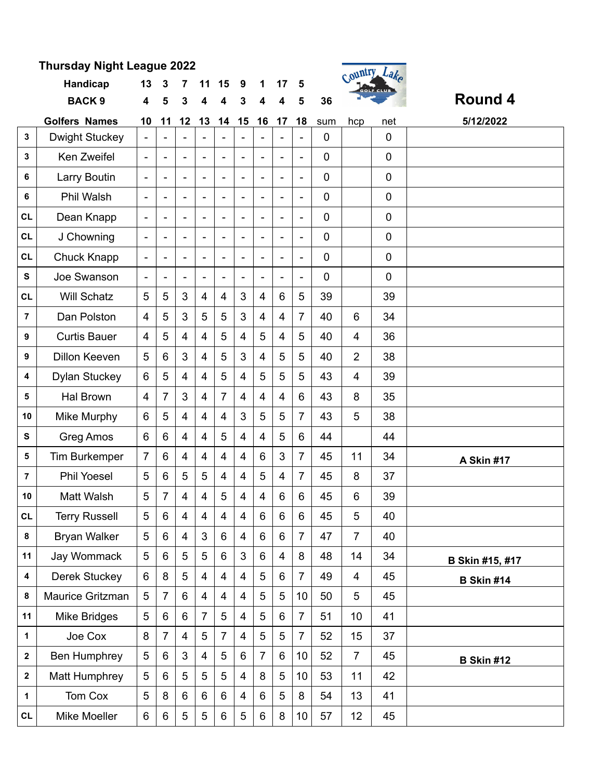|                         | Handicap              | 13                       | 3                        | 7                        | 11                       | 15                       | 9                        | 1                        | 17                       | 5                        |              | $\mathcal{C}$  | "מ<br>cour cruis |                   |
|-------------------------|-----------------------|--------------------------|--------------------------|--------------------------|--------------------------|--------------------------|--------------------------|--------------------------|--------------------------|--------------------------|--------------|----------------|------------------|-------------------|
|                         | <b>BACK 9</b>         | 4                        | 5                        | 3                        | 4                        |                          | 3                        |                          |                          |                          | 36           |                |                  | <b>Round 4</b>    |
|                         | <b>Golfers Names</b>  | 10                       | 11                       | 12                       | 13                       | 14                       | 15                       | 16                       | 17                       | 18                       | sum          | hcp            | net              | 5/12/2022         |
| 3                       | <b>Dwight Stuckey</b> | $\blacksquare$           |                          |                          |                          |                          |                          |                          |                          |                          | $\mathbf 0$  |                | $\mathbf 0$      |                   |
| 3                       | Ken Zweifel           | $\overline{\phantom{a}}$ | $\overline{\phantom{a}}$ | $\overline{\phantom{a}}$ | $\overline{\phantom{a}}$ | $\overline{\phantom{a}}$ | $\overline{\phantom{a}}$ | $\overline{\phantom{a}}$ | $\overline{\phantom{a}}$ | $\overline{\phantom{a}}$ | $\mathbf 0$  |                | $\mathbf 0$      |                   |
| 6                       | Larry Boutin          | $\overline{\phantom{a}}$ | $\overline{\phantom{a}}$ | $\blacksquare$           | $\blacksquare$           |                          | $\blacksquare$           | $\overline{\phantom{a}}$ |                          | $\blacksquare$           | $\mathbf 0$  |                | $\mathbf 0$      |                   |
| 6                       | Phil Walsh            | $\overline{\phantom{a}}$ | $\blacksquare$           | $\overline{\phantom{0}}$ | $\overline{\phantom{a}}$ | $\blacksquare$           | $\overline{\phantom{0}}$ | $\overline{\phantom{a}}$ | $\blacksquare$           | $\overline{\phantom{a}}$ | $\mathbf 0$  |                | $\mathbf 0$      |                   |
| <b>CL</b>               | Dean Knapp            | $\overline{\phantom{a}}$ | -                        | $\blacksquare$           | $\overline{\phantom{a}}$ | ÷                        | $\overline{\phantom{a}}$ | $\overline{\phantom{m}}$ | $\overline{\phantom{a}}$ | $\blacksquare$           | $\mathbf 0$  |                | $\overline{0}$   |                   |
| <b>CL</b>               | J Chowning            | $\overline{\phantom{a}}$ |                          |                          | $\overline{\phantom{a}}$ |                          |                          |                          |                          | ٠                        | $\mathbf 0$  |                | $\mathbf 0$      |                   |
| <b>CL</b>               | Chuck Knapp           | $\overline{\phantom{a}}$ | $\overline{\phantom{0}}$ | $\overline{\phantom{a}}$ | $\overline{\phantom{a}}$ |                          | $\overline{\phantom{0}}$ | $\overline{\phantom{a}}$ |                          | $\overline{\phantom{a}}$ | $\mathbf 0$  |                | $\mathbf 0$      |                   |
| S                       | Joe Swanson           | $\overline{\phantom{a}}$ | ۰                        | $\blacksquare$           | $\overline{\phantom{m}}$ |                          | $\overline{\phantom{a}}$ | ÷                        |                          | $\blacksquare$           | $\mathbf{0}$ |                | $\mathbf 0$      |                   |
| <b>CL</b>               | <b>Will Schatz</b>    | 5                        | 5                        | 3                        | $\overline{4}$           | $\overline{4}$           | 3                        | $\overline{\mathbf{4}}$  | 6                        | 5                        | 39           |                | 39               |                   |
| $\overline{7}$          | Dan Polston           | $\overline{4}$           | 5                        | 3                        | 5                        | 5                        | 3                        | $\overline{4}$           | $\overline{4}$           | 7                        | 40           | 6              | 34               |                   |
| 9                       | <b>Curtis Bauer</b>   | $\overline{4}$           | 5                        | 4                        | $\overline{4}$           | 5                        | 4                        | 5                        | $\overline{4}$           | 5                        | 40           | $\overline{4}$ | 36               |                   |
| 9                       | <b>Dillon Keeven</b>  | 5                        | 6                        | 3                        | $\overline{4}$           | 5                        | 3                        | $\overline{4}$           | 5                        | 5                        | 40           | $\overline{2}$ | 38               |                   |
| 4                       | <b>Dylan Stuckey</b>  | 6                        | 5                        | 4                        | $\overline{4}$           | 5                        | 4                        | 5                        | 5                        | 5                        | 43           | 4              | 39               |                   |
| 5                       | <b>Hal Brown</b>      | $\overline{4}$           | 7                        | 3                        | $\overline{4}$           | $\overline{7}$           | $\overline{4}$           | $\overline{4}$           | $\overline{4}$           | 6                        | 43           | 8              | 35               |                   |
| 10                      | Mike Murphy           | 6                        | 5                        | 4                        | $\overline{4}$           | 4                        | 3                        | $\overline{5}$           | 5                        | $\overline{7}$           | 43           | 5              | 38               |                   |
| S                       | <b>Greg Amos</b>      | 6                        | 6                        | 4                        | $\overline{\mathbf{4}}$  | 5                        | 4                        | $\overline{\mathbf{4}}$  | 5                        | 6                        | 44           |                | 44               |                   |
| 5                       | Tim Burkemper         | $\overline{7}$           | 6                        | $\overline{4}$           | $\overline{4}$           | $\overline{4}$           | $\overline{4}$           | $6\phantom{1}$           | 3                        | $\overline{7}$           | 45           | 11             | 34               | A Skin #17        |
| $\overline{7}$          | <b>Phil Yoesel</b>    | 5                        | 6                        | 5                        | 5                        | 4                        | 4                        | 5                        | $\overline{4}$           | $\overline{7}$           | 45           | 8              | 37               |                   |
| 10                      | Matt Walsh            | 5                        | 7                        | 4                        | $\overline{\mathbf{4}}$  | 5                        | 4                        | 4                        | 6                        | 6                        | 45           | 6              | 39               |                   |
| CL                      | <b>Terry Russell</b>  | 5                        | 6                        | 4                        | $\overline{4}$           | 4                        | 4                        | 6                        | 6                        | 6                        | 45           | 5              | 40               |                   |
| 8                       | <b>Bryan Walker</b>   | 5                        | 6                        | $\overline{4}$           | $\mathfrak{S}$           | 6                        | $\overline{4}$           | $6\phantom{1}$           | 6                        | $\overline{7}$           | 47           | $\overline{7}$ | 40               |                   |
| 11                      | Jay Wommack           | 5                        | 6                        | $\overline{5}$           | 5                        | 6                        | $\mathfrak{S}$           | $\,6\,$                  | $\overline{4}$           | 8                        | 48           | 14             | 34               | B Skin #15, #17   |
| $\overline{\mathbf{4}}$ | <b>Derek Stuckey</b>  | $\,6$                    | 8                        | $\mathbf 5$              | $\overline{\mathbf{4}}$  | 4                        | $\overline{4}$           | $\mathbf 5$              | 6                        | 7                        | 49           | 4              | 45               | <b>B Skin #14</b> |
| 8                       | Maurice Gritzman      | 5                        | $\overline{7}$           | 6                        | $\overline{4}$           | 4                        | $\overline{4}$           | $\sqrt{5}$               | 5                        | 10                       | 50           | 5              | 45               |                   |
| 11                      | Mike Bridges          | 5                        | 6                        | 6                        | $\overline{7}$           | 5                        | $\overline{4}$           | $\overline{5}$           | 6                        | $\overline{7}$           | 51           | 10             | 41               |                   |
| $\mathbf{1}$            | Joe Cox               | 8                        | $\overline{7}$           | 4                        | $\overline{5}$           | $\overline{7}$           | 4                        | $\sqrt{5}$               | 5                        | 7                        | 52           | 15             | 37               |                   |
| $\mathbf 2$             | <b>Ben Humphrey</b>   | $\overline{5}$           | 6                        | $\mathbf{3}$             | $\overline{4}$           | $\sqrt{5}$               | $\,6\,$                  | $\overline{7}$           | 6                        | 10                       | 52           | $\overline{7}$ | 45               | <b>B Skin #12</b> |
| $\mathbf 2$             | Matt Humphrey         | 5                        | 6                        | 5                        | 5                        | 5                        | $\overline{4}$           | 8                        | 5                        | 10                       | 53           | 11             | 42               |                   |
| $\mathbf 1$             | Tom Cox               | 5                        | 8                        | 6                        | 6                        | 6                        | $\overline{4}$           | $\,6$                    | 5                        | 8                        | 54           | 13             | 41               |                   |
| CL                      | Mike Moeller          | 6                        | 6                        | $\sqrt{5}$               | 5                        | 6                        | $\overline{5}$           | $\,6\,$                  | 8                        | 10 <sub>1</sub>          | 57           | 12             | 45               |                   |

Country Lake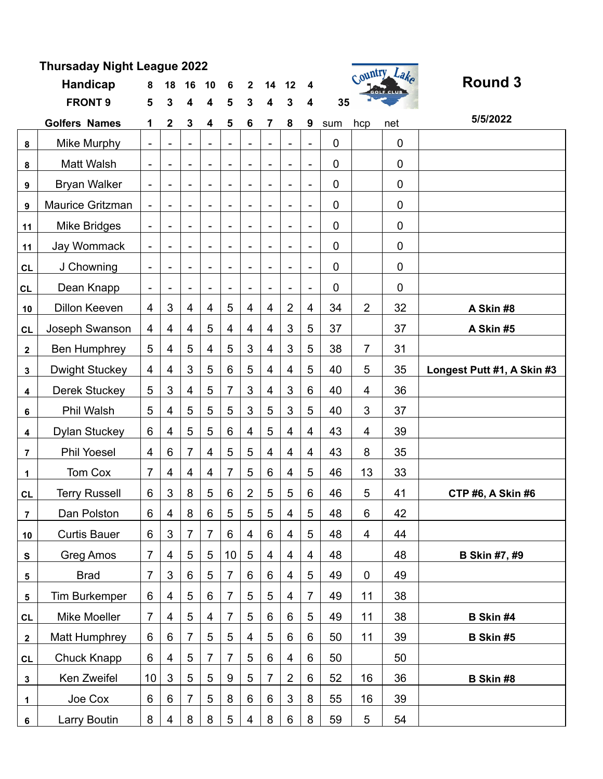| <b>Thursaday Night League 2022</b> |                       |                              |                  |                          |                          |                |                 |                          |                              |                              |             | Country Lake            |     |                            |
|------------------------------------|-----------------------|------------------------------|------------------|--------------------------|--------------------------|----------------|-----------------|--------------------------|------------------------------|------------------------------|-------------|-------------------------|-----|----------------------------|
|                                    | <b>Handicap</b>       | 8                            | 18               | 16                       | 10                       | 6              | $\mathbf{2}$    | 14                       | 12                           | 4                            |             | GOLF CLUB               |     | <b>Round 3</b>             |
|                                    | <b>FRONT 9</b>        | 5                            | 3                | 4                        | 4                        | 5              | 3               | 4                        | 3                            | 4                            | 35          |                         |     |                            |
|                                    | <b>Golfers Names</b>  | 1                            | $\boldsymbol{2}$ | 3                        | 4                        | 5              | 6               | 7                        | 8                            | 9                            | sum         | hcp                     | net | 5/5/2022                   |
| 8                                  | Mike Murphy           | $\overline{\phantom{a}}$     |                  |                          | $\blacksquare$           |                |                 |                          |                              | $\overline{\phantom{a}}$     | $\mathbf 0$ |                         | 0   |                            |
| 8                                  | Matt Walsh            | $\overline{\phantom{a}}$     |                  | $\overline{\phantom{a}}$ | $\overline{\phantom{a}}$ |                |                 |                          | $\overline{\phantom{0}}$     | $\blacksquare$               | $\mathbf 0$ |                         | 0   |                            |
| 9                                  | <b>Bryan Walker</b>   | $\blacksquare$               |                  | $\blacksquare$           | $\blacksquare$           |                |                 | $\overline{\phantom{a}}$ |                              | $\overline{\phantom{a}}$     | $\mathbf 0$ |                         | 0   |                            |
| 9                                  | Maurice Gritzman      | $\qquad \qquad \blacksquare$ |                  | $\overline{\phantom{a}}$ | $\overline{\phantom{a}}$ |                |                 | $\overline{\phantom{a}}$ | $\overline{\phantom{a}}$     | $\blacksquare$               | $\mathbf 0$ |                         | 0   |                            |
| 11                                 | Mike Bridges          | $\overline{\phantom{a}}$     |                  |                          | $\frac{1}{2}$            |                |                 | $\overline{\phantom{a}}$ |                              | $\overline{\phantom{a}}$     | $\mathbf 0$ |                         | 0   |                            |
| 11                                 | Jay Wommack           | $\overline{\phantom{a}}$     |                  | $\overline{\phantom{0}}$ | $\overline{\phantom{a}}$ |                |                 | $\overline{\phantom{a}}$ | $\qquad \qquad \blacksquare$ | $\overline{\phantom{a}}$     | 0           |                         | 0   |                            |
| CL                                 | J Chowning            | $\blacksquare$               |                  |                          | $\blacksquare$           |                |                 | $\overline{\phantom{a}}$ |                              | $\overline{\phantom{a}}$     | $\mathbf 0$ |                         | 0   |                            |
| <b>CL</b>                          | Dean Knapp            | $\overline{\phantom{a}}$     |                  |                          |                          |                |                 |                          |                              | $\qquad \qquad \blacksquare$ | $\mathbf 0$ |                         | 0   |                            |
| 10                                 | <b>Dillon Keeven</b>  | 4                            | 3                | 4                        | 4                        | 5              | 4               | 4                        | $\overline{2}$               | 4                            | 34          | $\overline{2}$          | 32  | A Skin #8                  |
| CL                                 | Joseph Swanson        | $\overline{\mathbf{4}}$      | 4                | 4                        | 5                        | 4              | 4               | $\overline{\mathbf{4}}$  | 3                            | 5                            | 37          |                         | 37  | A Skin #5                  |
| $\mathbf{2}$                       | <b>Ben Humphrey</b>   | 5                            | 4                | 5                        | 4                        | 5              | 3               | $\overline{4}$           | 3                            | 5                            | 38          | $\overline{7}$          | 31  |                            |
| $\mathbf 3$                        | <b>Dwight Stuckey</b> | $\overline{\mathbf{4}}$      | $\overline{4}$   | 3                        | 5                        | 6              | 5               | $\overline{4}$           | $\overline{4}$               | 5                            | 40          | 5                       | 35  | Longest Putt #1, A Skin #3 |
| 4                                  | <b>Derek Stuckey</b>  | 5                            | 3                | $\overline{4}$           | 5                        | 7              | 3               | $\overline{4}$           | 3                            | 6                            | 40          | 4                       | 36  |                            |
| 6                                  | Phil Walsh            | 5                            | 4                | 5                        | 5                        | 5              | 3               | 5                        | 3                            | 5                            | 40          | 3                       | 37  |                            |
| 4                                  | <b>Dylan Stuckey</b>  | 6                            | 4                | 5                        | 5                        | 6              | $\overline{4}$  | 5                        | 4                            | 4                            | 43          | $\overline{4}$          | 39  |                            |
| $\overline{7}$                     | <b>Phil Yoesel</b>    | $\overline{\mathbf{4}}$      | 6                | $\overline{7}$           | $\overline{4}$           | 5              | 5               | $\overline{4}$           | $\overline{4}$               | 4                            | 43          | 8                       | 35  |                            |
| 1                                  | Tom Cox               | $\overline{7}$               | 4                | 4                        | 4                        | 7              | 5               | 6                        | 4                            | 5                            | 46          | 13                      | 33  |                            |
| CL                                 | <b>Terry Russell</b>  | 6                            | 3                | 8                        | 5                        | 6              | $\overline{2}$  | 5                        | 5                            | 6                            | 46          | 5                       | 41  | <b>CTP #6, A Skin #6</b>   |
| $\overline{7}$                     | Dan Polston           | 6                            | 4                | 8                        | 6                        | 5              | 5               | 5                        | 4                            | 5                            | 48          | 6                       | 42  |                            |
| 10                                 | <b>Curtis Bauer</b>   | 6                            | 3                | $\overline{7}$           | $\overline{7}$           | 6              | $\overline{4}$  | $6\,$                    | $\overline{4}$               | 5                            | 48          | $\overline{\mathbf{4}}$ | 44  |                            |
| ${\bf s}$                          | Greg Amos             | $\overline{7}$               | 4                | 5                        | 5                        | 10             | $\overline{5}$  | $\overline{4}$           | $\overline{4}$               | 4                            | 48          |                         | 48  | <b>B Skin #7, #9</b>       |
| 5                                  | <b>Brad</b>           | $\overline{7}$               | 3                | $6\,$                    | 5                        | $\overline{7}$ | $6\phantom{1}6$ | $6\,$                    | $\overline{\mathbf{4}}$      | 5                            | 49          | $\pmb{0}$               | 49  |                            |
| 5                                  | <b>Tim Burkemper</b>  | 6                            | 4                | 5                        | 6                        | 7              | 5               | 5                        | $\overline{4}$               | $\overline{7}$               | 49          | 11                      | 38  |                            |
| <b>CL</b>                          | Mike Moeller          | $\overline{7}$               | $\overline{4}$   | $\sqrt{5}$               | $\overline{\mathbf{4}}$  | $\overline{7}$ | 5               | $6\,$                    | $6\,$                        | 5                            | 49          | 11                      | 38  | B Skin #4                  |
| $\mathbf{2}$                       | Matt Humphrey         | 6                            | 6                | 7                        | 5                        | 5              | 4               | 5                        | $6\,$                        | 6                            | 50          | 11                      | 39  | B Skin #5                  |
| CL                                 | Chuck Knapp           | 6                            | $\overline{4}$   | 5                        | 7                        | $\overline{7}$ | 5               | 6                        | $\overline{4}$               | 6                            | 50          |                         | 50  |                            |
| $\mathbf 3$                        | Ken Zweifel           | 10                           | 3                | 5                        | 5                        | 9              | 5               | 7                        | $\overline{2}$               | 6                            | 52          | 16                      | 36  | B Skin #8                  |
| 1                                  | Joe Cox               | 6                            | 6                | $\overline{7}$           | 5                        | 8              | 6               | 6                        | 3                            | 8                            | 55          | 16                      | 39  |                            |
| 6                                  | Larry Boutin          | 8                            | 4                | $\bf 8$                  | 8                        | 5              | 4               | $\bf 8$                  | $\,6\,$                      | 8                            | 59          | 5                       | 54  |                            |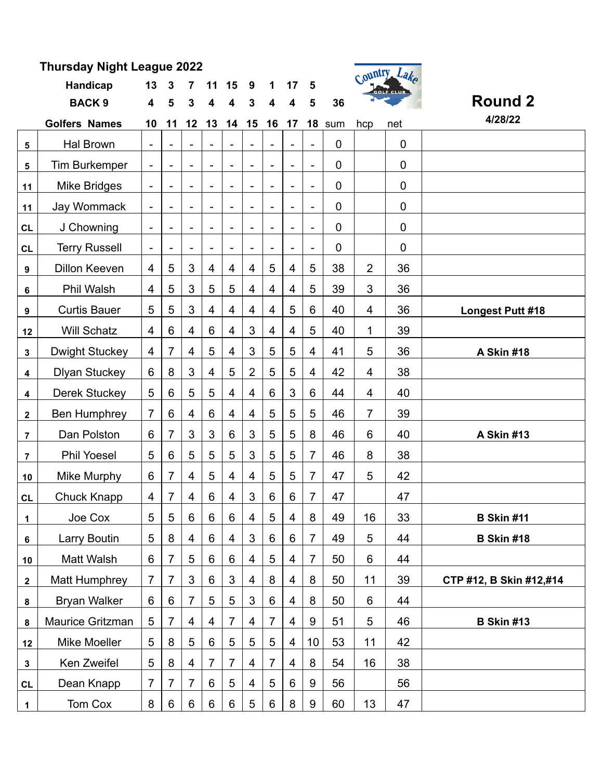| Thursday Night League 2022 |                       |                              |                          |                              |                              |                          |                |                          |                          |                          |             |                         | Country Lake |                         |  |
|----------------------------|-----------------------|------------------------------|--------------------------|------------------------------|------------------------------|--------------------------|----------------|--------------------------|--------------------------|--------------------------|-------------|-------------------------|--------------|-------------------------|--|
|                            | Handicap              | 13                           | 3                        |                              | 11                           | 15                       | 9              | 1                        | 17                       | 5                        |             |                         | GOLF CLUB    |                         |  |
|                            | <b>BACK 9</b>         | 4                            | 5                        | 3                            | 4                            | 4                        | 3              | 4                        | 4                        | 5                        | 36          |                         |              | <b>Round 2</b>          |  |
|                            | <b>Golfers Names</b>  | 10                           | 11                       | 12                           | 13                           | 14                       | 15             | 16                       | 17                       | 18                       | sum         | hcp                     | net          | 4/28/22                 |  |
| 5                          | Hal Brown             | $\overline{\phantom{a}}$     |                          |                              |                              |                          |                |                          |                          |                          | $\mathbf 0$ |                         | $\mathbf 0$  |                         |  |
| 5                          | <b>Tim Burkemper</b>  | $\qquad \qquad \blacksquare$ | $\overline{\phantom{a}}$ | $\overline{\phantom{a}}$     | $\overline{\phantom{0}}$     | $\overline{\phantom{a}}$ | $\blacksquare$ | $\overline{\phantom{0}}$ | $\overline{\phantom{a}}$ | $\overline{\phantom{a}}$ | $\mathbf 0$ |                         | $\mathbf 0$  |                         |  |
| 11                         | <b>Mike Bridges</b>   | $\overline{\phantom{a}}$     | $\qquad \qquad -$        |                              | $\overline{a}$               | $\overline{\phantom{a}}$ |                | $\overline{\phantom{0}}$ | $\overline{\phantom{a}}$ | $\overline{\phantom{a}}$ | $\mathbf 0$ |                         | $\mathbf 0$  |                         |  |
| 11                         | Jay Wommack           | $\qquad \qquad \blacksquare$ | $\overline{\phantom{a}}$ | $\overline{\phantom{a}}$     | $\qquad \qquad \blacksquare$ | $\overline{\phantom{a}}$ | $\blacksquare$ | $\overline{\phantom{0}}$ | $\overline{\phantom{a}}$ | $\blacksquare$           | $\mathbf 0$ |                         | $\mathbf 0$  |                         |  |
| <b>CL</b>                  | J Chowning            |                              |                          |                              |                              |                          |                |                          |                          | $\overline{\phantom{a}}$ | $\mathbf 0$ |                         | $\mathbf 0$  |                         |  |
| <b>CL</b>                  | <b>Terry Russell</b>  | $\overline{\phantom{a}}$     | $\overline{\phantom{a}}$ | $\qquad \qquad \blacksquare$ | $\qquad \qquad -$            | $\overline{\phantom{a}}$ | $\blacksquare$ | $\overline{\phantom{0}}$ | $\overline{\phantom{a}}$ | $\overline{\phantom{a}}$ | 0           |                         | $\mathbf 0$  |                         |  |
| 9                          | <b>Dillon Keeven</b>  | 4                            | 5                        | 3                            | 4                            | $\overline{4}$           | 4              | 5                        | $\overline{\mathbf{4}}$  | 5                        | 38          | $\overline{2}$          | 36           |                         |  |
| 6                          | Phil Walsh            | 4                            | 5                        | 3                            | 5                            | 5                        | 4              | 4                        | $\overline{4}$           | 5                        | 39          | 3                       | 36           |                         |  |
| 9                          | <b>Curtis Bauer</b>   | 5                            | 5                        | 3                            | 4                            | $\overline{4}$           | $\overline{4}$ | $\overline{4}$           | 5                        | 6                        | 40          | $\overline{\mathbf{4}}$ | 36           | Longest Putt #18        |  |
| 12                         | <b>Will Schatz</b>    | 4                            | $6\phantom{1}$           | 4                            | 6                            | 4                        | 3              | 4                        | 4                        | 5                        | 40          | 1                       | 39           |                         |  |
| 3                          | <b>Dwight Stuckey</b> | 4                            | 7                        | $\overline{4}$               | 5                            | $\overline{4}$           | 3              | 5                        | 5                        | 4                        | 41          | 5                       | 36           | A Skin #18              |  |
| $\overline{\mathbf{4}}$    | <b>Dlyan Stuckey</b>  | $6\phantom{1}$               | 8                        | 3                            | 4                            | 5                        | $\overline{2}$ | 5                        | 5                        | 4                        | 42          | 4                       | 38           |                         |  |
| $\overline{\mathbf{4}}$    | <b>Derek Stuckey</b>  | 5                            | $6\phantom{1}$           | 5                            | 5                            | $\overline{4}$           | $\overline{4}$ | $6\phantom{1}6$          | 3                        | 6                        | 44          | $\overline{\mathbf{4}}$ | 40           |                         |  |
| $\mathbf{2}$               | <b>Ben Humphrey</b>   | $\overline{7}$               | 6                        | 4                            | 6                            | $\overline{4}$           | 4              | 5                        | 5                        | 5                        | 46          | 7                       | 39           |                         |  |
| $\overline{7}$             | Dan Polston           | 6                            | 7                        | 3                            | 3                            | 6                        | 3              | 5                        | 5                        | 8                        | 46          | 6                       | 40           | A Skin #13              |  |
| $\overline{7}$             | <b>Phil Yoesel</b>    | 5                            | $6\phantom{1}$           | 5                            | 5                            | 5                        | 3              | 5                        | 5                        | $\overline{7}$           | 46          | 8                       | 38           |                         |  |
| 10                         | Mike Murphy           | 6                            | $\overline{7}$           | 4                            | 5                            | $\overline{\mathbf{4}}$  | $\overline{4}$ | 5                        | 5                        | $\overline{7}$           | 47          | 5                       | 42           |                         |  |
| <b>CL</b>                  | <b>Chuck Knapp</b>    | 4                            | $\overline{7}$           | 4                            | $6\phantom{1}$               | $\overline{\mathbf{4}}$  | 3              | $6\phantom{1}6$          | 6                        | 7                        | 47          |                         | 47           |                         |  |
| 1                          | Joe Cox               | 5                            | $\sqrt{5}$               | 6                            | $6\phantom{1}$               | $6\phantom{1}$           | $\overline{4}$ | 5                        | 4                        | $\bf 8$                  | 49          | 16                      | 33           | <b>B Skin #11</b>       |  |
| 6                          | Larry Boutin          | 5                            | 8                        | 4                            | 6                            | 4                        | $\mathfrak{B}$ | 6                        | 6                        | $\overline{7}$           | 49          | 5                       | 44           | <b>B Skin #18</b>       |  |
| 10                         | Matt Walsh            | 6                            | $\overline{7}$           | 5                            | $6\phantom{1}$               | 6                        | 4              | 5                        | 4                        | $\overline{7}$           | 50          | 6                       | 44           |                         |  |
| $\mathbf{2}$               | <b>Matt Humphrey</b>  | $\overline{7}$               | $\overline{7}$           | $\mathfrak{S}$               | 6                            | 3                        | 4              | 8                        | 4                        | 8                        | 50          | 11                      | 39           | CTP #12, B Skin #12,#14 |  |
| 8                          | <b>Bryan Walker</b>   | 6                            | 6                        | $\overline{7}$               | 5                            | 5                        | 3              | 6                        | 4                        | 8                        | 50          | 6                       | 44           |                         |  |
| 8                          | Maurice Gritzman      | 5                            | $\overline{7}$           | 4                            | 4                            | $\overline{7}$           | 4              | 7                        | 4                        | 9                        | 51          | 5                       | 46           | <b>B Skin #13</b>       |  |
| 12                         | Mike Moeller          | 5                            | 8                        | 5                            | $6\phantom{1}$               | $\sqrt{5}$               | 5              | 5                        | 4                        | 10                       | 53          | 11                      | 42           |                         |  |
| $\mathbf 3$                | Ken Zweifel           | 5                            | 8                        | 4                            | $\overline{7}$               | $\overline{7}$           | 4              | $\overline{7}$           | 4                        | 8                        | 54          | 16                      | 38           |                         |  |
| <b>CL</b>                  | Dean Knapp            | $\overline{7}$               | 7                        | $\overline{7}$               | 6                            | $\sqrt{5}$               | 4              | 5                        | 6                        | 9                        | 56          |                         | 56           |                         |  |
| $\mathbf 1$                | Tom Cox               | 8                            | 6                        | 6                            | 6                            | 6                        | 5              | 6                        | 8                        | 9                        | 60          | 13                      | 47           |                         |  |